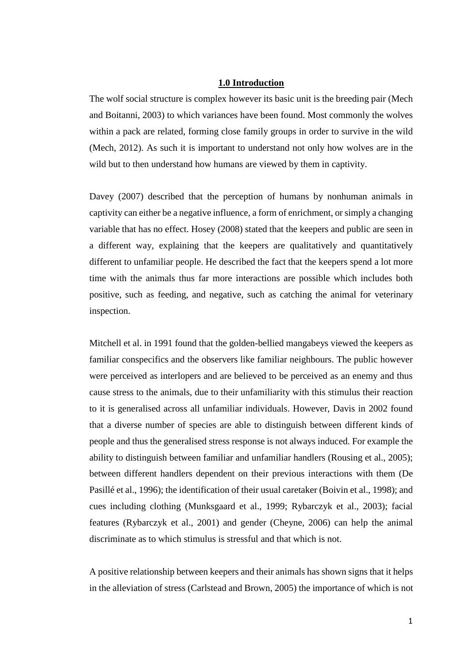## **1.0 Introduction**

The wolf social structure is complex however its basic unit is the breeding pair (Mech and Boitanni, 2003) to which variances have been found. Most commonly the wolves within a pack are related, forming close family groups in order to survive in the wild (Mech, 2012). As such it is important to understand not only how wolves are in the wild but to then understand how humans are viewed by them in captivity.

Davey (2007) described that the perception of humans by nonhuman animals in captivity can either be a negative influence, a form of enrichment, or simply a changing variable that has no effect. Hosey (2008) stated that the keepers and public are seen in a different way, explaining that the keepers are qualitatively and quantitatively different to unfamiliar people. He described the fact that the keepers spend a lot more time with the animals thus far more interactions are possible which includes both positive, such as feeding, and negative, such as catching the animal for veterinary inspection.

Mitchell et al. in 1991 found that the golden-bellied mangabeys viewed the keepers as familiar conspecifics and the observers like familiar neighbours. The public however were perceived as interlopers and are believed to be perceived as an enemy and thus cause stress to the animals, due to their unfamiliarity with this stimulus their reaction to it is generalised across all unfamiliar individuals. However, Davis in 2002 found that a diverse number of species are able to distinguish between different kinds of people and thus the generalised stress response is not always induced. For example the ability to distinguish between familiar and unfamiliar handlers (Rousing et al., 2005); between different handlers dependent on their previous interactions with them (De Pasillé et al., 1996); the identification of their usual caretaker (Boivin et al., 1998); and cues including clothing (Munksgaard et al., 1999; Rybarczyk et al., 2003); facial features (Rybarczyk et al., 2001) and gender (Cheyne, 2006) can help the animal discriminate as to which stimulus is stressful and that which is not.

A positive relationship between keepers and their animals has shown signs that it helps in the alleviation of stress (Carlstead and Brown, 2005) the importance of which is not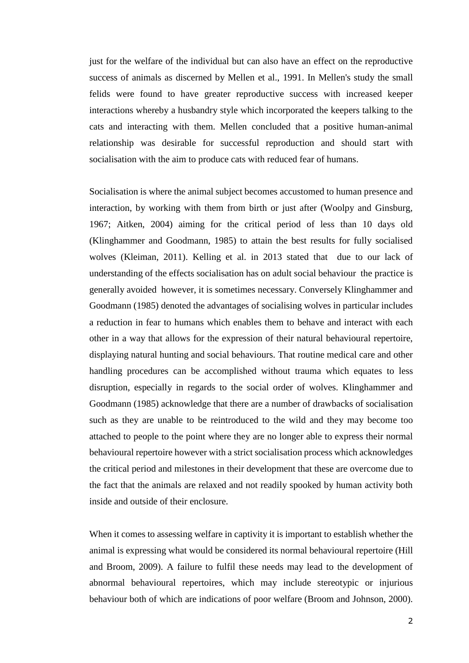just for the welfare of the individual but can also have an effect on the reproductive success of animals as discerned by Mellen et al., 1991. In Mellen's study the small felids were found to have greater reproductive success with increased keeper interactions whereby a husbandry style which incorporated the keepers talking to the cats and interacting with them. Mellen concluded that a positive human-animal relationship was desirable for successful reproduction and should start with socialisation with the aim to produce cats with reduced fear of humans.

Socialisation is where the animal subject becomes accustomed to human presence and interaction, by working with them from birth or just after (Woolpy and Ginsburg, 1967; Aitken, 2004) aiming for the critical period of less than 10 days old (Klinghammer and Goodmann, 1985) to attain the best results for fully socialised wolves (Kleiman, 2011). Kelling et al. in 2013 stated that due to our lack of understanding of the effects socialisation has on adult social behaviour the practice is generally avoided however, it is sometimes necessary. Conversely Klinghammer and Goodmann (1985) denoted the advantages of socialising wolves in particular includes a reduction in fear to humans which enables them to behave and interact with each other in a way that allows for the expression of their natural behavioural repertoire, displaying natural hunting and social behaviours. That routine medical care and other handling procedures can be accomplished without trauma which equates to less disruption, especially in regards to the social order of wolves. Klinghammer and Goodmann (1985) acknowledge that there are a number of drawbacks of socialisation such as they are unable to be reintroduced to the wild and they may become too attached to people to the point where they are no longer able to express their normal behavioural repertoire however with a strict socialisation process which acknowledges the critical period and milestones in their development that these are overcome due to the fact that the animals are relaxed and not readily spooked by human activity both inside and outside of their enclosure.

When it comes to assessing welfare in captivity it is important to establish whether the animal is expressing what would be considered its normal behavioural repertoire (Hill and Broom, 2009). A failure to fulfil these needs may lead to the development of abnormal behavioural repertoires, which may include stereotypic or injurious behaviour both of which are indications of poor welfare (Broom and Johnson, 2000).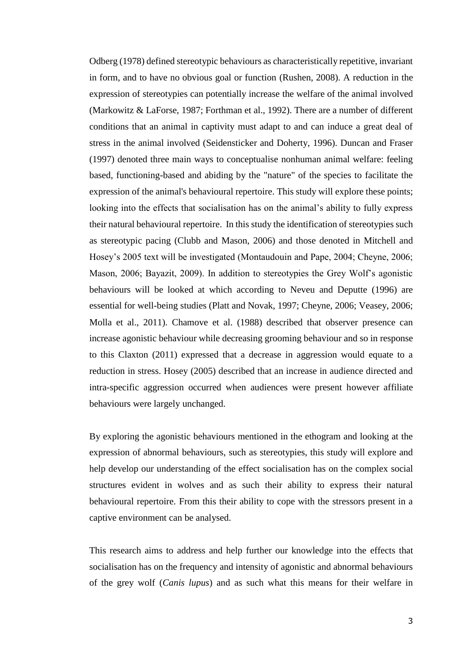Odberg (1978) defined stereotypic behaviours as characteristically repetitive, invariant in form, and to have no obvious goal or function (Rushen, 2008). A reduction in the expression of stereotypies can potentially increase the welfare of the animal involved (Markowitz & LaForse, 1987; Forthman et al., 1992). There are a number of different conditions that an animal in captivity must adapt to and can induce a great deal of stress in the animal involved (Seidensticker and Doherty, 1996). Duncan and Fraser (1997) denoted three main ways to conceptualise nonhuman animal welfare: feeling based, functioning-based and abiding by the "nature" of the species to facilitate the expression of the animal's behavioural repertoire. This study will explore these points; looking into the effects that socialisation has on the animal's ability to fully express their natural behavioural repertoire. In this study the identification of stereotypies such as stereotypic pacing (Clubb and Mason, 2006) and those denoted in Mitchell and Hosey's 2005 text will be investigated (Montaudouin and Pape, 2004; Cheyne, 2006; Mason, 2006; Bayazit, 2009). In addition to stereotypies the Grey Wolf's agonistic behaviours will be looked at which according to Neveu and Deputte (1996) are essential for well-being studies (Platt and Novak, 1997; Cheyne, 2006; Veasey, 2006; Molla et al., 2011). Chamove et al. (1988) described that observer presence can increase agonistic behaviour while decreasing grooming behaviour and so in response to this Claxton (2011) expressed that a decrease in aggression would equate to a reduction in stress. Hosey (2005) described that an increase in audience directed and intra-specific aggression occurred when audiences were present however affiliate behaviours were largely unchanged.

By exploring the agonistic behaviours mentioned in the ethogram and looking at the expression of abnormal behaviours, such as stereotypies, this study will explore and help develop our understanding of the effect socialisation has on the complex social structures evident in wolves and as such their ability to express their natural behavioural repertoire. From this their ability to cope with the stressors present in a captive environment can be analysed.

This research aims to address and help further our knowledge into the effects that socialisation has on the frequency and intensity of agonistic and abnormal behaviours of the grey wolf (*Canis lupus*) and as such what this means for their welfare in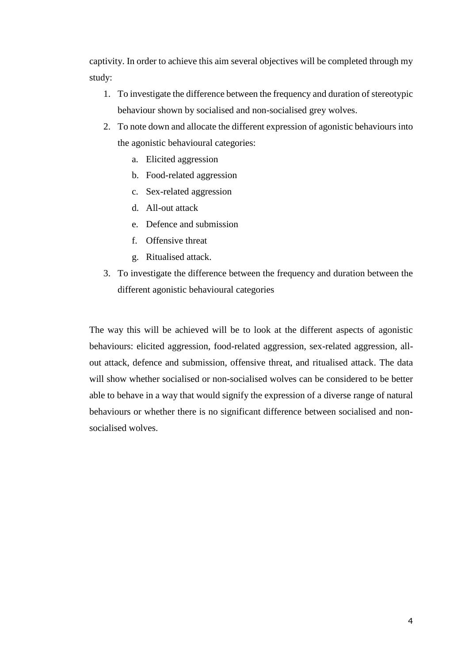captivity. In order to achieve this aim several objectives will be completed through my study:

- 1. To investigate the difference between the frequency and duration of stereotypic behaviour shown by socialised and non-socialised grey wolves.
- 2. To note down and allocate the different expression of agonistic behaviours into the agonistic behavioural categories:
	- a. Elicited aggression
	- b. Food-related aggression
	- c. Sex-related aggression
	- d. All-out attack
	- e. Defence and submission
	- f. Offensive threat
	- g. Ritualised attack.
- 3. To investigate the difference between the frequency and duration between the different agonistic behavioural categories

The way this will be achieved will be to look at the different aspects of agonistic behaviours: elicited aggression, food-related aggression, sex-related aggression, allout attack, defence and submission, offensive threat, and ritualised attack. The data will show whether socialised or non-socialised wolves can be considered to be better able to behave in a way that would signify the expression of a diverse range of natural behaviours or whether there is no significant difference between socialised and nonsocialised wolves.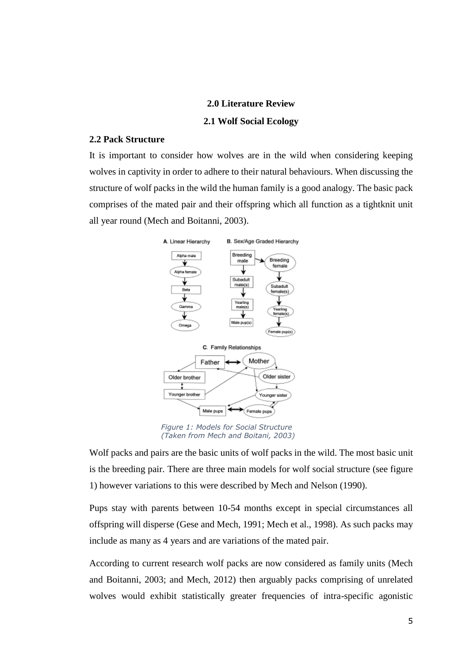#### **2.0 Literature Review**

#### **2.1 Wolf Social Ecology**

## **2.2 Pack Structure**

It is important to consider how wolves are in the wild when considering keeping wolves in captivity in order to adhere to their natural behaviours. When discussing the structure of wolf packs in the wild the human family is a good analogy. The basic pack comprises of the mated pair and their offspring which all function as a tightknit unit all year round (Mech and Boitanni, 2003).



Figure 1: Models for Social Structure *Figure 1: Models for Social Structure*  (Taken from Mech and Boitani, 2003) *(Taken from Mech and Boitani, 2003)*

Wolf packs and pairs are the basic units of wolf packs in the wild. The most basic unit is the breeding pair. There are three main models for wolf social structure (see figure 1) however variations to this were described by Mech and Nelson (1990).

Pups stay with parents between 10-54 months except in special circumstances all offspring will disperse (Gese and Mech, 1991; Mech et al., 1998). As such packs may include as many as 4 years and are variations of the mated pair.

According to current research wolf packs are now considered as family units (Mech and Boitanni, 2003; and Mech, 2012) then arguably packs comprising of unrelated wolves would exhibit statistically greater frequencies of intra-specific agonistic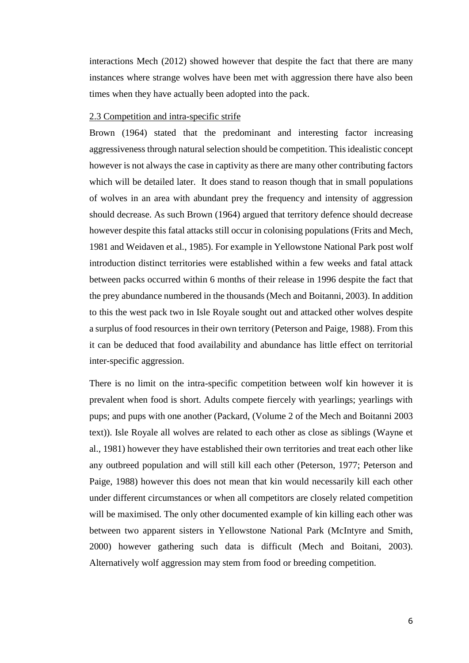interactions Mech (2012) showed however that despite the fact that there are many instances where strange wolves have been met with aggression there have also been times when they have actually been adopted into the pack.

## 2.3 Competition and intra-specific strife

Brown (1964) stated that the predominant and interesting factor increasing aggressiveness through natural selection should be competition. This idealistic concept however is not always the case in captivity as there are many other contributing factors which will be detailed later. It does stand to reason though that in small populations of wolves in an area with abundant prey the frequency and intensity of aggression should decrease. As such Brown (1964) argued that territory defence should decrease however despite this fatal attacks still occur in colonising populations (Frits and Mech, 1981 and Weidaven et al., 1985). For example in Yellowstone National Park post wolf introduction distinct territories were established within a few weeks and fatal attack between packs occurred within 6 months of their release in 1996 despite the fact that the prey abundance numbered in the thousands (Mech and Boitanni, 2003). In addition to this the west pack two in Isle Royale sought out and attacked other wolves despite a surplus of food resources in their own territory (Peterson and Paige, 1988). From this it can be deduced that food availability and abundance has little effect on territorial inter-specific aggression.

There is no limit on the intra-specific competition between wolf kin however it is prevalent when food is short. Adults compete fiercely with yearlings; yearlings with pups; and pups with one another (Packard, (Volume 2 of the Mech and Boitanni 2003 text)). Isle Royale all wolves are related to each other as close as siblings (Wayne et al., 1981) however they have established their own territories and treat each other like any outbreed population and will still kill each other (Peterson, 1977; Peterson and Paige, 1988) however this does not mean that kin would necessarily kill each other under different circumstances or when all competitors are closely related competition will be maximised. The only other documented example of kin killing each other was between two apparent sisters in Yellowstone National Park (McIntyre and Smith, 2000) however gathering such data is difficult (Mech and Boitani, 2003). Alternatively wolf aggression may stem from food or breeding competition.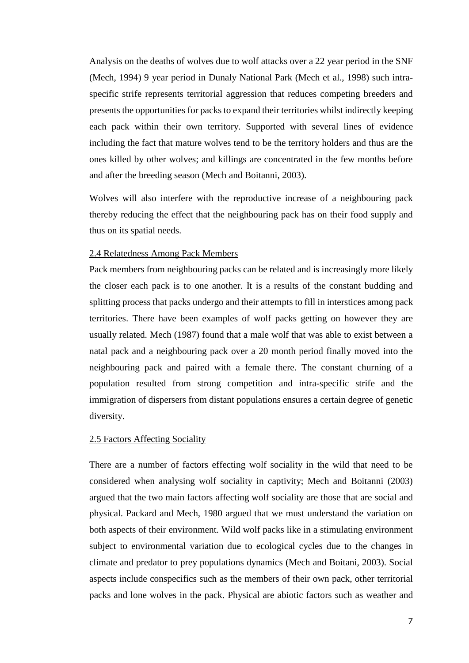Analysis on the deaths of wolves due to wolf attacks over a 22 year period in the SNF (Mech, 1994) 9 year period in Dunaly National Park (Mech et al., 1998) such intraspecific strife represents territorial aggression that reduces competing breeders and presents the opportunities for packs to expand their territories whilst indirectly keeping each pack within their own territory. Supported with several lines of evidence including the fact that mature wolves tend to be the territory holders and thus are the ones killed by other wolves; and killings are concentrated in the few months before and after the breeding season (Mech and Boitanni, 2003).

Wolves will also interfere with the reproductive increase of a neighbouring pack thereby reducing the effect that the neighbouring pack has on their food supply and thus on its spatial needs.

## 2.4 Relatedness Among Pack Members

Pack members from neighbouring packs can be related and is increasingly more likely the closer each pack is to one another. It is a results of the constant budding and splitting process that packs undergo and their attempts to fill in interstices among pack territories. There have been examples of wolf packs getting on however they are usually related. Mech (1987) found that a male wolf that was able to exist between a natal pack and a neighbouring pack over a 20 month period finally moved into the neighbouring pack and paired with a female there. The constant churning of a population resulted from strong competition and intra-specific strife and the immigration of dispersers from distant populations ensures a certain degree of genetic diversity.

#### 2.5 Factors Affecting Sociality

There are a number of factors effecting wolf sociality in the wild that need to be considered when analysing wolf sociality in captivity; Mech and Boitanni (2003) argued that the two main factors affecting wolf sociality are those that are social and physical. Packard and Mech, 1980 argued that we must understand the variation on both aspects of their environment. Wild wolf packs like in a stimulating environment subject to environmental variation due to ecological cycles due to the changes in climate and predator to prey populations dynamics (Mech and Boitani, 2003). Social aspects include conspecifics such as the members of their own pack, other territorial packs and lone wolves in the pack. Physical are abiotic factors such as weather and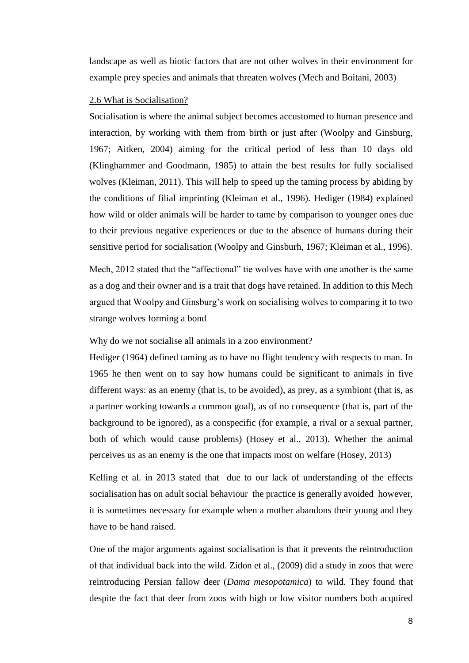landscape as well as biotic factors that are not other wolves in their environment for example prey species and animals that threaten wolves (Mech and Boitani, 2003)

#### 2.6 What is Socialisation?

Socialisation is where the animal subject becomes accustomed to human presence and interaction, by working with them from birth or just after (Woolpy and Ginsburg, 1967; Aitken, 2004) aiming for the critical period of less than 10 days old (Klinghammer and Goodmann, 1985) to attain the best results for fully socialised wolves (Kleiman, 2011). This will help to speed up the taming process by abiding by the conditions of filial imprinting (Kleiman et al., 1996). Hediger (1984) explained how wild or older animals will be harder to tame by comparison to younger ones due to their previous negative experiences or due to the absence of humans during their sensitive period for socialisation (Woolpy and Ginsburh, 1967; Kleiman et al., 1996).

Mech, 2012 stated that the "affectional" tie wolves have with one another is the same as a dog and their owner and is a trait that dogs have retained. In addition to this Mech argued that Woolpy and Ginsburg's work on socialising wolves to comparing it to two strange wolves forming a bond

Why do we not socialise all animals in a zoo environment?

Hediger (1964) defined taming as to have no flight tendency with respects to man. In 1965 he then went on to say how humans could be significant to animals in five different ways: as an enemy (that is, to be avoided), as prey, as a symbiont (that is, as a partner working towards a common goal), as of no consequence (that is, part of the background to be ignored), as a conspecific (for example, a rival or a sexual partner, both of which would cause problems) (Hosey et al., 2013). Whether the animal perceives us as an enemy is the one that impacts most on welfare (Hosey, 2013)

Kelling et al. in 2013 stated that due to our lack of understanding of the effects socialisation has on adult social behaviour the practice is generally avoided however, it is sometimes necessary for example when a mother abandons their young and they have to be hand raised.

One of the major arguments against socialisation is that it prevents the reintroduction of that individual back into the wild. Zidon et al., (2009) did a study in zoos that were reintroducing Persian fallow deer (*Dama mesopotamica*) to wild. They found that despite the fact that deer from zoos with high or low visitor numbers both acquired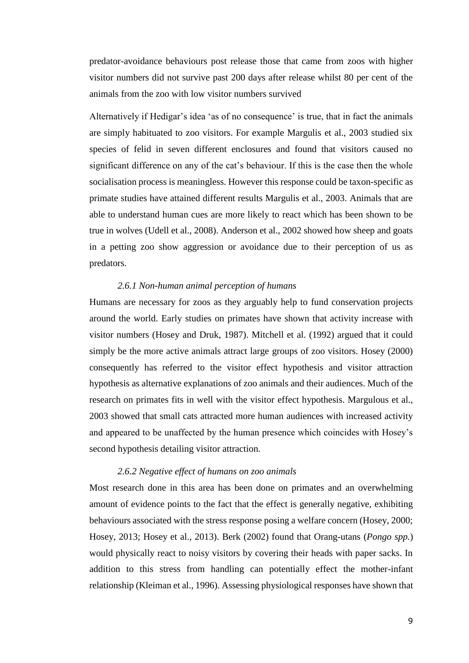predator-avoidance behaviours post release those that came from zoos with higher visitor numbers did not survive past 200 days after release whilst 80 per cent of the animals from the zoo with low visitor numbers survived

Alternatively if Hedigar's idea 'as of no consequence' is true, that in fact the animals are simply habituated to zoo visitors. For example Margulis et al., 2003 studied six species of felid in seven different enclosures and found that visitors caused no significant difference on any of the cat's behaviour. If this is the case then the whole socialisation process is meaningless. However this response could be taxon-specific as primate studies have attained different results Margulis et al., 2003. Animals that are able to understand human cues are more likely to react which has been shown to be true in wolves (Udell et al., 2008). Anderson et al., 2002 showed how sheep and goats in a petting zoo show aggression or avoidance due to their perception of us as predators.

## *2.6.1 Non-human animal perception of humans*

Humans are necessary for zoos as they arguably help to fund conservation projects around the world. Early studies on primates have shown that activity increase with visitor numbers (Hosey and Druk, 1987). Mitchell et al. (1992) argued that it could simply be the more active animals attract large groups of zoo visitors. Hosey (2000) consequently has referred to the visitor effect hypothesis and visitor attraction hypothesis as alternative explanations of zoo animals and their audiences. Much of the research on primates fits in well with the visitor effect hypothesis. Margulous et al., 2003 showed that small cats attracted more human audiences with increased activity and appeared to be unaffected by the human presence which coincides with Hosey's second hypothesis detailing visitor attraction.

## *2.6.2 Negative effect of humans on zoo animals*

Most research done in this area has been done on primates and an overwhelming amount of evidence points to the fact that the effect is generally negative, exhibiting behaviours associated with the stress response posing a welfare concern (Hosey, 2000; Hosey, 2013; Hosey et al., 2013). Berk (2002) found that Orang-utans (*Pongo spp.*) would physically react to noisy visitors by covering their heads with paper sacks. In addition to this stress from handling can potentially effect the mother-infant relationship (Kleiman et al., 1996). Assessing physiological responses have shown that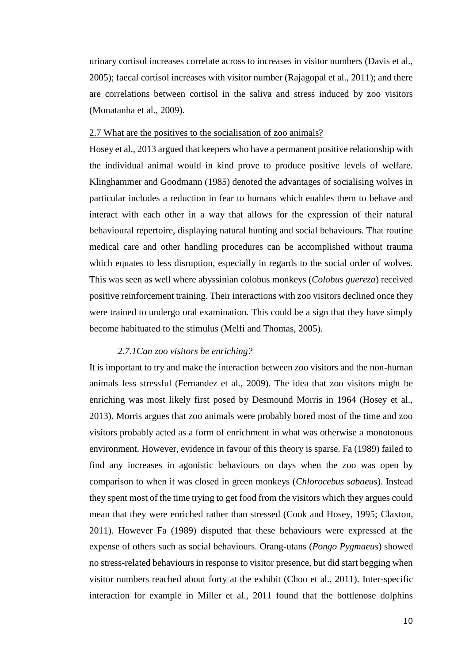urinary cortisol increases correlate across to increases in visitor numbers (Davis et al., 2005); faecal cortisol increases with visitor number (Rajagopal et al., 2011); and there are correlations between cortisol in the saliva and stress induced by zoo visitors (Monatanha et al., 2009).

## 2.7 What are the positives to the socialisation of zoo animals?

Hosey et al., 2013 argued that keepers who have a permanent positive relationship with the individual animal would in kind prove to produce positive levels of welfare. Klinghammer and Goodmann (1985) denoted the advantages of socialising wolves in particular includes a reduction in fear to humans which enables them to behave and interact with each other in a way that allows for the expression of their natural behavioural repertoire, displaying natural hunting and social behaviours. That routine medical care and other handling procedures can be accomplished without trauma which equates to less disruption, especially in regards to the social order of wolves. This was seen as well where abyssinian colobus monkeys (*Colobus guereza*) received positive reinforcement training. Their interactions with zoo visitors declined once they were trained to undergo oral examination. This could be a sign that they have simply become habituated to the stimulus (Melfi and Thomas, 2005).

## *2.7.1Can zoo visitors be enriching?*

It is important to try and make the interaction between zoo visitors and the non-human animals less stressful (Fernandez et al., 2009). The idea that zoo visitors might be enriching was most likely first posed by Desmound Morris in 1964 (Hosey et al., 2013). Morris argues that zoo animals were probably bored most of the time and zoo visitors probably acted as a form of enrichment in what was otherwise a monotonous environment. However, evidence in favour of this theory is sparse. Fa (1989) failed to find any increases in agonistic behaviours on days when the zoo was open by comparison to when it was closed in green monkeys (*Chlorocebus sabaeus*). Instead they spent most of the time trying to get food from the visitors which they argues could mean that they were enriched rather than stressed (Cook and Hosey, 1995; Claxton, 2011). However Fa (1989) disputed that these behaviours were expressed at the expense of others such as social behaviours. Orang-utans (*Pongo Pygmaeus*) showed no stress-related behaviours in response to visitor presence, but did start begging when visitor numbers reached about forty at the exhibit (Choo et al., 2011). Inter-specific interaction for example in Miller et al., 2011 found that the bottlenose dolphins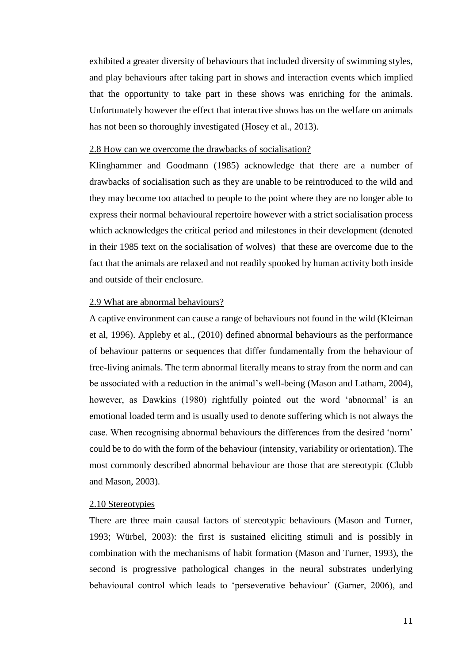exhibited a greater diversity of behaviours that included diversity of swimming styles, and play behaviours after taking part in shows and interaction events which implied that the opportunity to take part in these shows was enriching for the animals. Unfortunately however the effect that interactive shows has on the welfare on animals has not been so thoroughly investigated (Hosey et al., 2013).

### 2.8 How can we overcome the drawbacks of socialisation?

Klinghammer and Goodmann (1985) acknowledge that there are a number of drawbacks of socialisation such as they are unable to be reintroduced to the wild and they may become too attached to people to the point where they are no longer able to express their normal behavioural repertoire however with a strict socialisation process which acknowledges the critical period and milestones in their development (denoted in their 1985 text on the socialisation of wolves) that these are overcome due to the fact that the animals are relaxed and not readily spooked by human activity both inside and outside of their enclosure.

### 2.9 What are abnormal behaviours?

A captive environment can cause a range of behaviours not found in the wild (Kleiman et al, 1996). Appleby et al., (2010) defined abnormal behaviours as the performance of behaviour patterns or sequences that differ fundamentally from the behaviour of free-living animals. The term abnormal literally means to stray from the norm and can be associated with a reduction in the animal's well-being (Mason and Latham, 2004), however, as Dawkins (1980) rightfully pointed out the word 'abnormal' is an emotional loaded term and is usually used to denote suffering which is not always the case. When recognising abnormal behaviours the differences from the desired 'norm' could be to do with the form of the behaviour (intensity, variability or orientation). The most commonly described abnormal behaviour are those that are stereotypic (Clubb and Mason, 2003).

### 2.10 Stereotypies

There are three main causal factors of stereotypic behaviours (Mason and Turner, 1993; Würbel, 2003): the first is sustained eliciting stimuli and is possibly in combination with the mechanisms of habit formation (Mason and Turner, 1993), the second is progressive pathological changes in the neural substrates underlying behavioural control which leads to 'perseverative behaviour' (Garner, 2006), and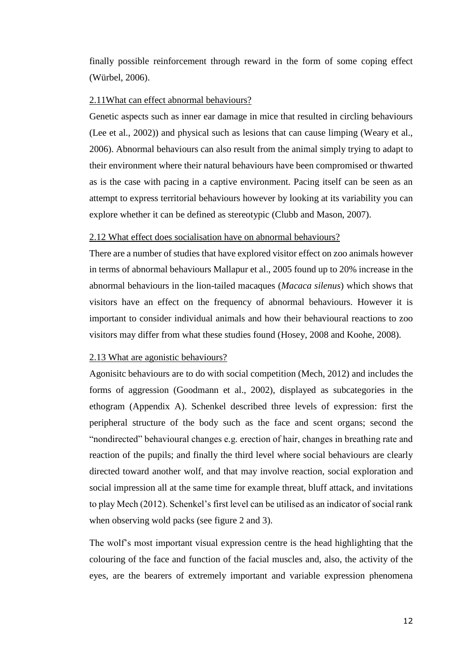finally possible reinforcement through reward in the form of some coping effect (Würbel, 2006).

## 2.11What can effect abnormal behaviours?

Genetic aspects such as inner ear damage in mice that resulted in circling behaviours (Lee et al., 2002)) and physical such as lesions that can cause limping (Weary et al., 2006). Abnormal behaviours can also result from the animal simply trying to adapt to their environment where their natural behaviours have been compromised or thwarted as is the case with pacing in a captive environment. Pacing itself can be seen as an attempt to express territorial behaviours however by looking at its variability you can explore whether it can be defined as stereotypic (Clubb and Mason, 2007).

## 2.12 What effect does socialisation have on abnormal behaviours?

There are a number of studies that have explored visitor effect on zoo animals however in terms of abnormal behaviours Mallapur et al., 2005 found up to 20% increase in the abnormal behaviours in the lion-tailed macaques (*Macaca silenus*) which shows that visitors have an effect on the frequency of abnormal behaviours. However it is important to consider individual animals and how their behavioural reactions to zoo visitors may differ from what these studies found (Hosey, 2008 and Koohe, 2008).

### 2.13 What are agonistic behaviours?

Agonisitc behaviours are to do with social competition (Mech, 2012) and includes the forms of aggression (Goodmann et al., 2002), displayed as subcategories in the ethogram (Appendix A). Schenkel described three levels of expression: first the peripheral structure of the body such as the face and scent organs; second the "nondirected" behavioural changes e.g. erection of hair, changes in breathing rate and reaction of the pupils; and finally the third level where social behaviours are clearly directed toward another wolf, and that may involve reaction, social exploration and social impression all at the same time for example threat, bluff attack, and invitations to play Mech (2012). Schenkel's first level can be utilised as an indicator of social rank when observing wold packs (see figure 2 and 3).

The wolf's most important visual expression centre is the head highlighting that the colouring of the face and function of the facial muscles and, also, the activity of the eyes, are the bearers of extremely important and variable expression phenomena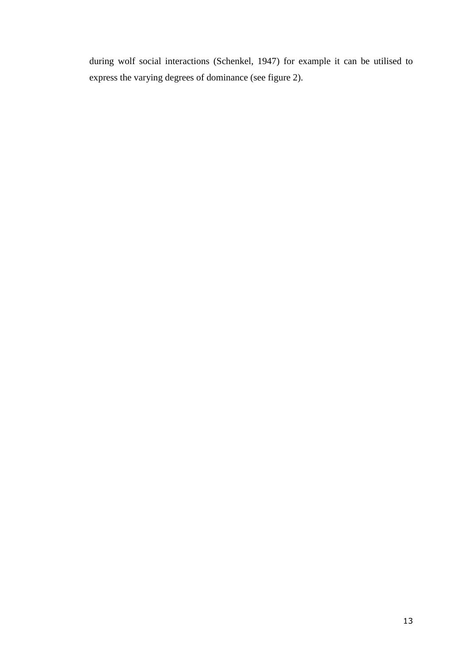during wolf social interactions (Schenkel, 1947) for example it can be utilised to express the varying degrees of dominance (see figure 2).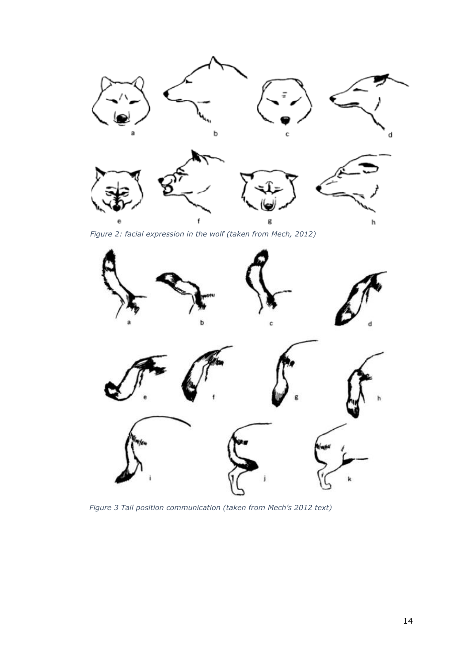

*Figure 2: facial expression in the wolf (taken from Mech, 2012)* 



*Figure 3 Tail position communication (taken from Mech's 2012 text)*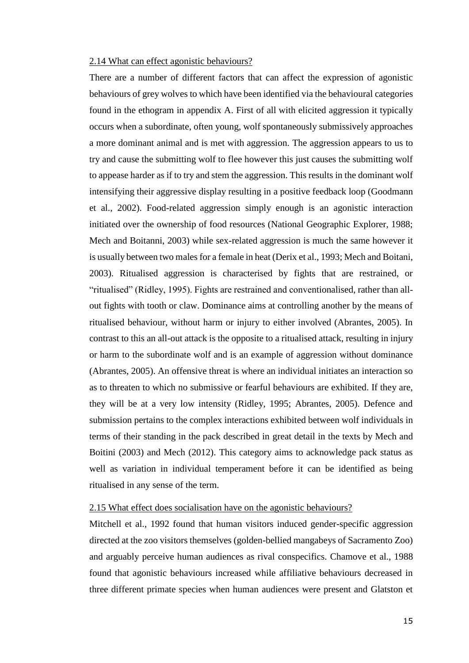#### 2.14 What can effect agonistic behaviours?

There are a number of different factors that can affect the expression of agonistic behaviours of grey wolves to which have been identified via the behavioural categories found in the ethogram in appendix A. First of all with elicited aggression it typically occurs when a subordinate, often young, wolf spontaneously submissively approaches a more dominant animal and is met with aggression. The aggression appears to us to try and cause the submitting wolf to flee however this just causes the submitting wolf to appease harder as if to try and stem the aggression. This results in the dominant wolf intensifying their aggressive display resulting in a positive feedback loop (Goodmann et al., 2002). Food-related aggression simply enough is an agonistic interaction initiated over the ownership of food resources (National Geographic Explorer, 1988; Mech and Boitanni, 2003) while sex-related aggression is much the same however it is usually between two males for a female in heat (Derix et al., 1993; Mech and Boitani, 2003). Ritualised aggression is characterised by fights that are restrained, or "ritualised" (Ridley, 1995). Fights are restrained and conventionalised, rather than allout fights with tooth or claw. Dominance aims at controlling another by the means of ritualised behaviour, without harm or injury to either involved (Abrantes, 2005). In contrast to this an all-out attack is the opposite to a ritualised attack, resulting in injury or harm to the subordinate wolf and is an example of aggression without dominance (Abrantes, 2005). An offensive threat is where an individual initiates an interaction so as to threaten to which no submissive or fearful behaviours are exhibited. If they are, they will be at a very low intensity (Ridley, 1995; Abrantes, 2005). Defence and submission pertains to the complex interactions exhibited between wolf individuals in terms of their standing in the pack described in great detail in the texts by Mech and Boitini (2003) and Mech (2012). This category aims to acknowledge pack status as well as variation in individual temperament before it can be identified as being ritualised in any sense of the term.

## 2.15 What effect does socialisation have on the agonistic behaviours?

Mitchell et al., 1992 found that human visitors induced gender-specific aggression directed at the zoo visitors themselves (golden-bellied mangabeys of Sacramento Zoo) and arguably perceive human audiences as rival conspecifics. Chamove et al., 1988 found that agonistic behaviours increased while affiliative behaviours decreased in three different primate species when human audiences were present and Glatston et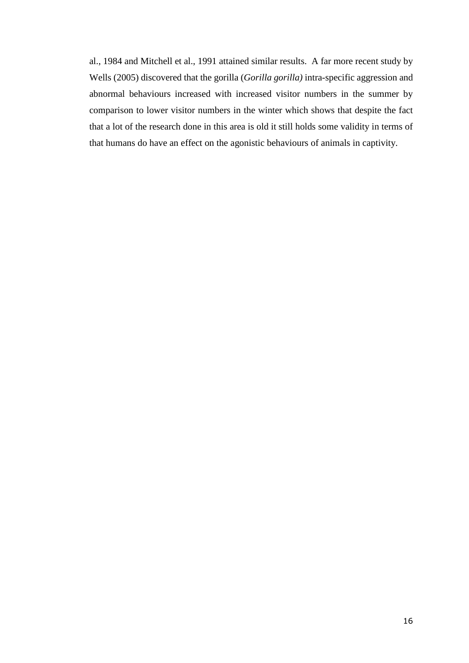al., 1984 and Mitchell et al., 1991 attained similar results. A far more recent study by Wells (2005) discovered that the gorilla (*Gorilla gorilla)* intra-specific aggression and abnormal behaviours increased with increased visitor numbers in the summer by comparison to lower visitor numbers in the winter which shows that despite the fact that a lot of the research done in this area is old it still holds some validity in terms of that humans do have an effect on the agonistic behaviours of animals in captivity.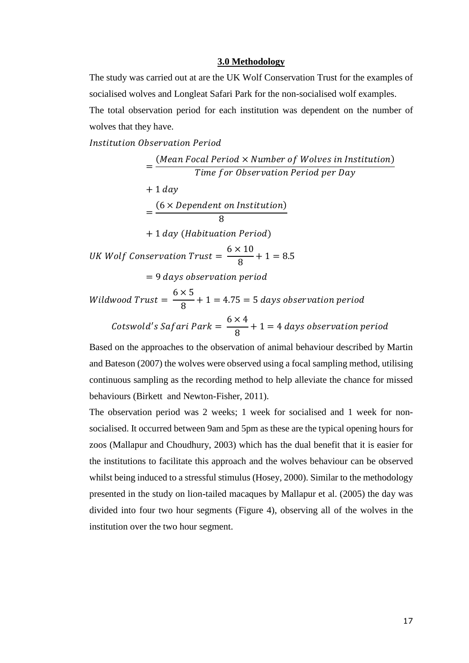#### **3.0 Methodology**

The study was carried out at are the UK Wolf Conservation Trust for the examples of socialised wolves and Longleat Safari Park for the non-socialised wolf examples.

The total observation period for each institution was dependent on the number of wolves that they have.

Institution Observation Period

= (Mean Focal Period  $\times$  Number of Wolves in Institution) Time for Observation Period per Day  $+ 1 day$ =  $(6 \times Dependent$  on Institution) 8  $+ 1 day$  (Habituation Period)  $UK$  Wolf Conservation Trust  $=$  $6 \times 10$ 8  $+ 1 = 8.5$  $= 9$  days observation period  $\emph{Wildwood Trust} =$  $6 \times 5$ 8  $+ 1 = 4.75 = 5$  days observation period

 $Cots$ wold's Safari Park =  $6 \times 4$ 8  $+ 1 = 4$  days observation period

Based on the approaches to the observation of animal behaviour described by Martin and Bateson (2007) the wolves were observed using a focal sampling method, utilising continuous sampling as the recording method to help alleviate the chance for missed behaviours (Birkett and Newton-Fisher, 2011).

The observation period was 2 weeks; 1 week for socialised and 1 week for nonsocialised. It occurred between 9am and 5pm as these are the typical opening hours for zoos (Mallapur and Choudhury, 2003) which has the dual benefit that it is easier for the institutions to facilitate this approach and the wolves behaviour can be observed whilst being induced to a stressful stimulus (Hosey, 2000). Similar to the methodology presented in the study on lion-tailed macaques by Mallapur et al. (2005) the day was divided into four two hour segments (Figure 4), observing all of the wolves in the institution over the two hour segment.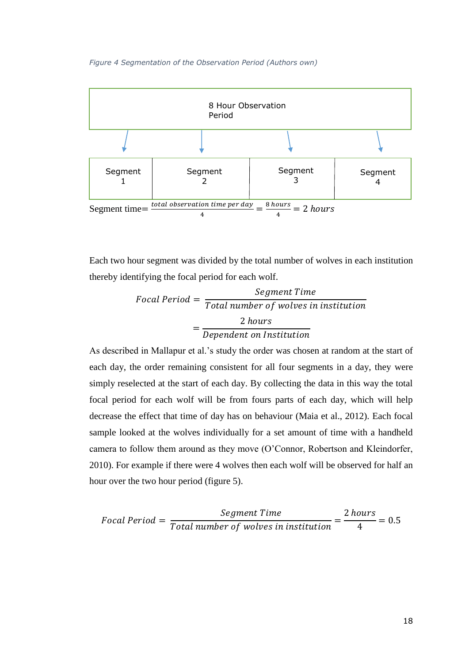

Each two hour segment was divided by the total number of wolves in each institution thereby identifying the focal period for each wolf.

**Food**

\n
$$
Focal Period = \frac{7} \cdot \frac{7} \cdot \frac{7} \cdot \frac{7} \cdot \frac{8} \cdot \frac{7} \cdot \frac{7} \cdot \frac{8} \cdot \frac{7} \cdot \frac{7} \cdot \frac{7} \cdot \frac{7} \cdot \frac{7} \cdot \frac{7} \cdot \frac{7} \cdot \frac{7} \cdot \frac{7} \cdot \frac{7} \cdot \frac{7} \cdot \frac{7} \cdot \frac{7} \cdot \frac{7} \cdot \frac{7} \cdot \frac{7} \cdot \frac{7} \cdot \frac{7} \cdot \frac{7} \cdot \frac{7} \cdot \frac{7} \cdot \frac{7} \cdot \frac{7} \cdot \frac{7} \cdot \frac{7} \cdot \frac{7} \cdot \frac{7} \cdot \frac{7} \cdot \frac{7} \cdot \frac{7} \cdot \frac{7} \cdot \frac{7} \cdot \frac{7} \cdot \frac{7} \cdot \frac{7} \cdot \frac{7} \cdot \frac{7} \cdot \frac{7} \cdot \frac{7} \cdot \frac{7} \cdot \frac{7} \cdot \frac{7} \cdot \frac{7} \cdot \frac{7} \cdot \frac{7} \cdot \frac{7} \cdot \frac{7} \cdot \frac{7} \cdot \frac{7} \cdot \frac{7} \cdot \frac{7} \cdot \frac{7} \cdot \frac{7} \cdot \frac{7} \cdot \frac{7} \cdot \frac{7} \cdot \frac{7} \cdot \frac{7} \cdot \frac{7} \cdot \frac{7} \cdot \frac{7} \cdot \frac{7} \cdot \frac{7} \cdot \frac{7} \cdot \frac{7} \cdot \frac{7} \cdot \frac{7} \cdot \frac{7} \cdot \frac{7} \cdot \frac{7} \cdot \frac{7} \cdot \frac{7} \cdot \frac{7} \cdot \frac{7} \cdot \frac{7} \cdot \frac{7} \cdot \frac{7} \cdot \frac{7} \cdot \frac{7} \cdot \frac{7} \cdot \frac{7} \cdot \frac{7} \cdot \frac{7} \cdot \frac{7} \cdot \frac{7} \cdot \frac{7} \cdot \frac{7} \cdot \frac{7} \cdot \frac{7} \cdot \frac{7} \cdot \frac{7} \cdot \frac{7} \cdot \frac{7} \cdot \frac{7} \cdot \frac{7} \cdot \frac{7} \cdot \frac{7} \cdot \frac{7} \cdot \
$$

As described in Mallapur et al.'s study the order was chosen at random at the start of each day, the order remaining consistent for all four segments in a day, they were simply reselected at the start of each day. By collecting the data in this way the total focal period for each wolf will be from fours parts of each day, which will help decrease the effect that time of day has on behaviour (Maia et al., 2012). Each focal sample looked at the wolves individually for a set amount of time with a handheld camera to follow them around as they move (O'Connor, Robertson and Kleindorfer, 2010). For example if there were 4 wolves then each wolf will be observed for half an hour over the two hour period (figure 5).

$$
Focal Period = \frac{Segment Time}{Total number of wolves in institution} = \frac{2 hours}{4} = 0.5
$$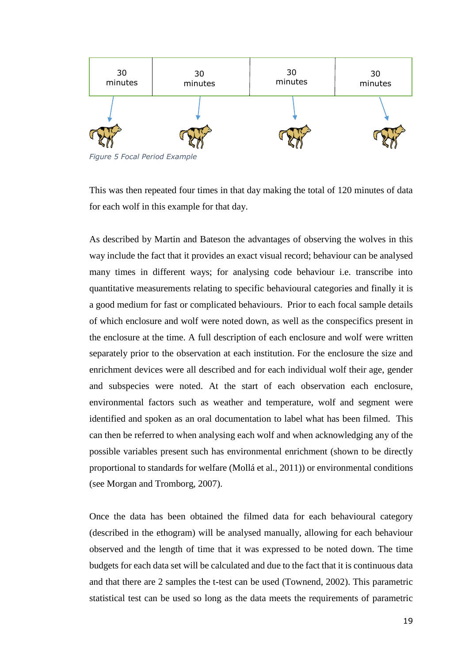

*Figure 5 Focal Period Example*

This was then repeated four times in that day making the total of 120 minutes of data for each wolf in this example for that day.

As described by Martin and Bateson the advantages of observing the wolves in this way include the fact that it provides an exact visual record; behaviour can be analysed many times in different ways; for analysing code behaviour i.e. transcribe into quantitative measurements relating to specific behavioural categories and finally it is a good medium for fast or complicated behaviours. Prior to each focal sample details of which enclosure and wolf were noted down, as well as the conspecifics present in the enclosure at the time. A full description of each enclosure and wolf were written separately prior to the observation at each institution. For the enclosure the size and enrichment devices were all described and for each individual wolf their age, gender and subspecies were noted. At the start of each observation each enclosure, environmental factors such as weather and temperature, wolf and segment were identified and spoken as an oral documentation to label what has been filmed. This can then be referred to when analysing each wolf and when acknowledging any of the possible variables present such has environmental enrichment (shown to be directly proportional to standards for welfare (Mollá et al., 2011)) or environmental conditions (see Morgan and Tromborg, 2007).

Once the data has been obtained the filmed data for each behavioural category (described in the ethogram) will be analysed manually, allowing for each behaviour observed and the length of time that it was expressed to be noted down. The time budgets for each data set will be calculated and due to the fact that it is continuous data and that there are 2 samples the t-test can be used (Townend, 2002). This parametric statistical test can be used so long as the data meets the requirements of parametric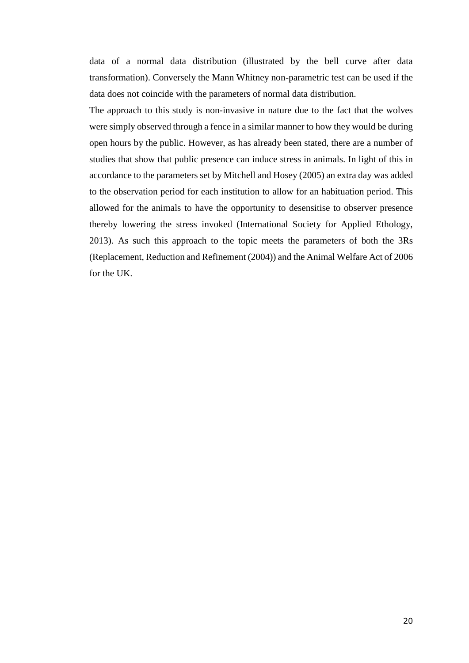data of a normal data distribution (illustrated by the bell curve after data transformation). Conversely the Mann Whitney non-parametric test can be used if the data does not coincide with the parameters of normal data distribution.

The approach to this study is non-invasive in nature due to the fact that the wolves were simply observed through a fence in a similar manner to how they would be during open hours by the public. However, as has already been stated, there are a number of studies that show that public presence can induce stress in animals. In light of this in accordance to the parameters set by Mitchell and Hosey (2005) an extra day was added to the observation period for each institution to allow for an habituation period. This allowed for the animals to have the opportunity to desensitise to observer presence thereby lowering the stress invoked (International Society for Applied Ethology, 2013). As such this approach to the topic meets the parameters of both the 3Rs (Replacement, Reduction and Refinement (2004)) and the Animal Welfare Act of 2006 for the UK.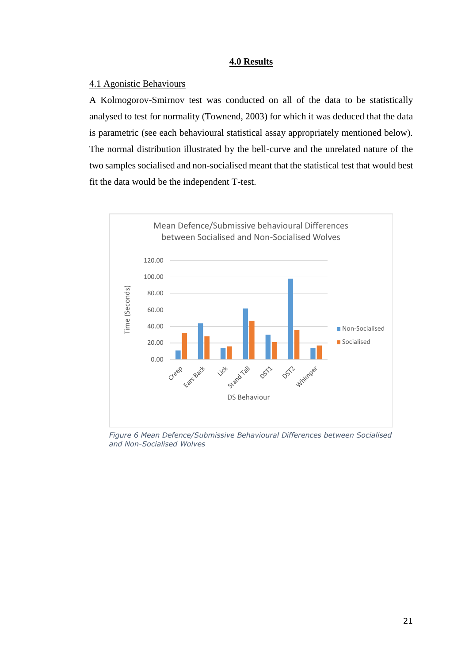## **4.0 Results**

## 4.1 Agonistic Behaviours

A Kolmogorov-Smirnov test was conducted on all of the data to be statistically analysed to test for normality (Townend, 2003) for which it was deduced that the data is parametric (see each behavioural statistical assay appropriately mentioned below). The normal distribution illustrated by the bell-curve and the unrelated nature of the two samples socialised and non-socialised meant that the statistical test that would best fit the data would be the independent T-test.



*Figure 6 Mean Defence/Submissive Behavioural Differences between Socialised and Non-Socialised Wolves*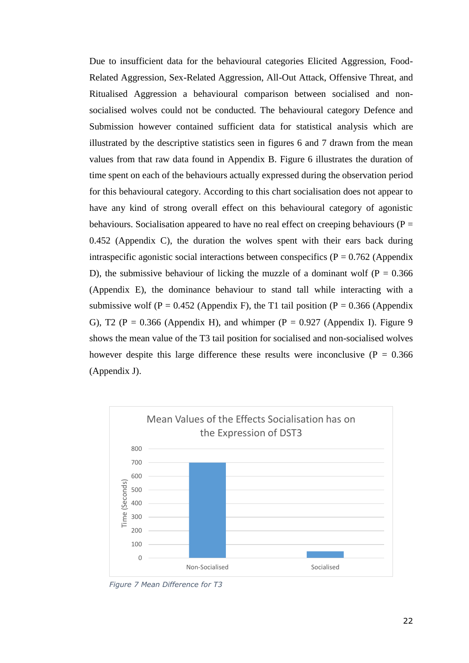Due to insufficient data for the behavioural categories Elicited Aggression, Food-Related Aggression, Sex-Related Aggression, All-Out Attack, Offensive Threat, and Ritualised Aggression a behavioural comparison between socialised and nonsocialised wolves could not be conducted. The behavioural category Defence and Submission however contained sufficient data for statistical analysis which are illustrated by the descriptive statistics seen in figures 6 and 7 drawn from the mean values from that raw data found in Appendix B. Figure 6 illustrates the duration of time spent on each of the behaviours actually expressed during the observation period for this behavioural category. According to this chart socialisation does not appear to have any kind of strong overall effect on this behavioural category of agonistic behaviours. Socialisation appeared to have no real effect on creeping behaviours ( $P =$ 0.452 (Appendix C), the duration the wolves spent with their ears back during intraspecific agonistic social interactions between conspecifics ( $P = 0.762$  (Appendix D), the submissive behaviour of licking the muzzle of a dominant wolf ( $P = 0.366$ ) (Appendix E), the dominance behaviour to stand tall while interacting with a submissive wolf (P = 0.452 (Appendix F), the T1 tail position (P = 0.366 (Appendix G), T2 ( $P = 0.366$  (Appendix H), and whimper ( $P = 0.927$  (Appendix I). Figure 9 shows the mean value of the T3 tail position for socialised and non-socialised wolves however despite this large difference these results were inconclusive ( $P = 0.366$ ) (Appendix J).



*Figure 7 Mean Difference for T3*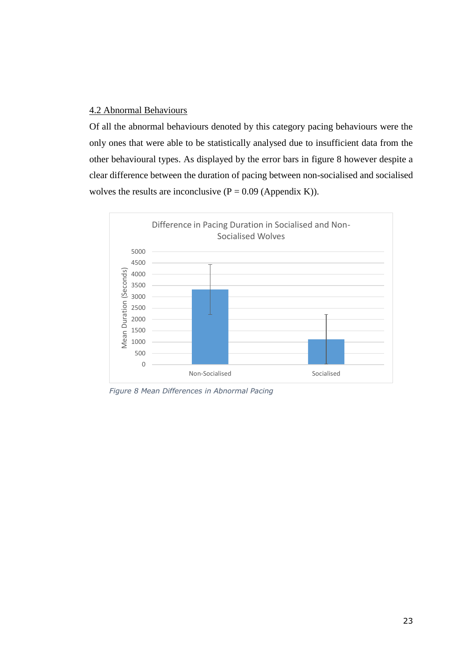## 4.2 Abnormal Behaviours

Of all the abnormal behaviours denoted by this category pacing behaviours were the only ones that were able to be statistically analysed due to insufficient data from the other behavioural types. As displayed by the error bars in figure 8 however despite a clear difference between the duration of pacing between non-socialised and socialised wolves the results are inconclusive  $(P = 0.09$  (Appendix K)).



*Figure 8 Mean Differences in Abnormal Pacing*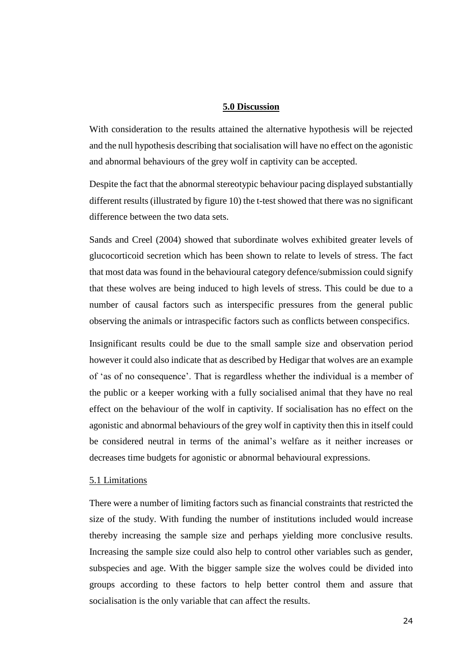#### **5.0 Discussion**

With consideration to the results attained the alternative hypothesis will be rejected and the null hypothesis describing that socialisation will have no effect on the agonistic and abnormal behaviours of the grey wolf in captivity can be accepted.

Despite the fact that the abnormal stereotypic behaviour pacing displayed substantially different results (illustrated by figure 10) the t-test showed that there was no significant difference between the two data sets.

Sands and Creel (2004) showed that subordinate wolves exhibited greater levels of glucocorticoid secretion which has been shown to relate to levels of stress. The fact that most data was found in the behavioural category defence/submission could signify that these wolves are being induced to high levels of stress. This could be due to a number of causal factors such as interspecific pressures from the general public observing the animals or intraspecific factors such as conflicts between conspecifics.

Insignificant results could be due to the small sample size and observation period however it could also indicate that as described by Hedigar that wolves are an example of 'as of no consequence'. That is regardless whether the individual is a member of the public or a keeper working with a fully socialised animal that they have no real effect on the behaviour of the wolf in captivity. If socialisation has no effect on the agonistic and abnormal behaviours of the grey wolf in captivity then this in itself could be considered neutral in terms of the animal's welfare as it neither increases or decreases time budgets for agonistic or abnormal behavioural expressions.

## 5.1 Limitations

There were a number of limiting factors such as financial constraints that restricted the size of the study. With funding the number of institutions included would increase thereby increasing the sample size and perhaps yielding more conclusive results. Increasing the sample size could also help to control other variables such as gender, subspecies and age. With the bigger sample size the wolves could be divided into groups according to these factors to help better control them and assure that socialisation is the only variable that can affect the results.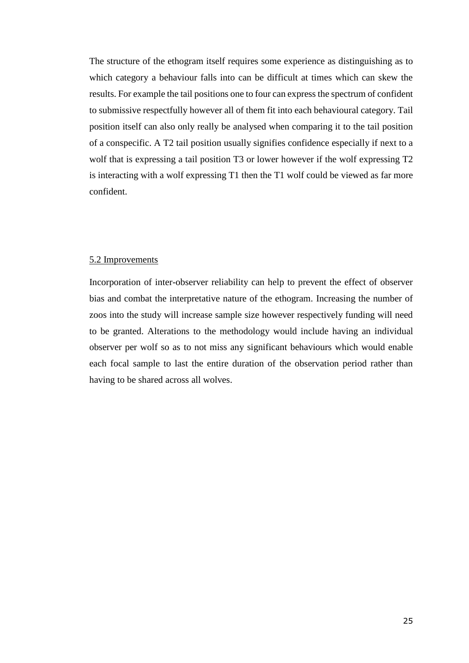The structure of the ethogram itself requires some experience as distinguishing as to which category a behaviour falls into can be difficult at times which can skew the results. For example the tail positions one to four can express the spectrum of confident to submissive respectfully however all of them fit into each behavioural category. Tail position itself can also only really be analysed when comparing it to the tail position of a conspecific. A T2 tail position usually signifies confidence especially if next to a wolf that is expressing a tail position T3 or lower however if the wolf expressing T2 is interacting with a wolf expressing T1 then the T1 wolf could be viewed as far more confident.

## 5.2 Improvements

Incorporation of inter-observer reliability can help to prevent the effect of observer bias and combat the interpretative nature of the ethogram. Increasing the number of zoos into the study will increase sample size however respectively funding will need to be granted. Alterations to the methodology would include having an individual observer per wolf so as to not miss any significant behaviours which would enable each focal sample to last the entire duration of the observation period rather than having to be shared across all wolves.